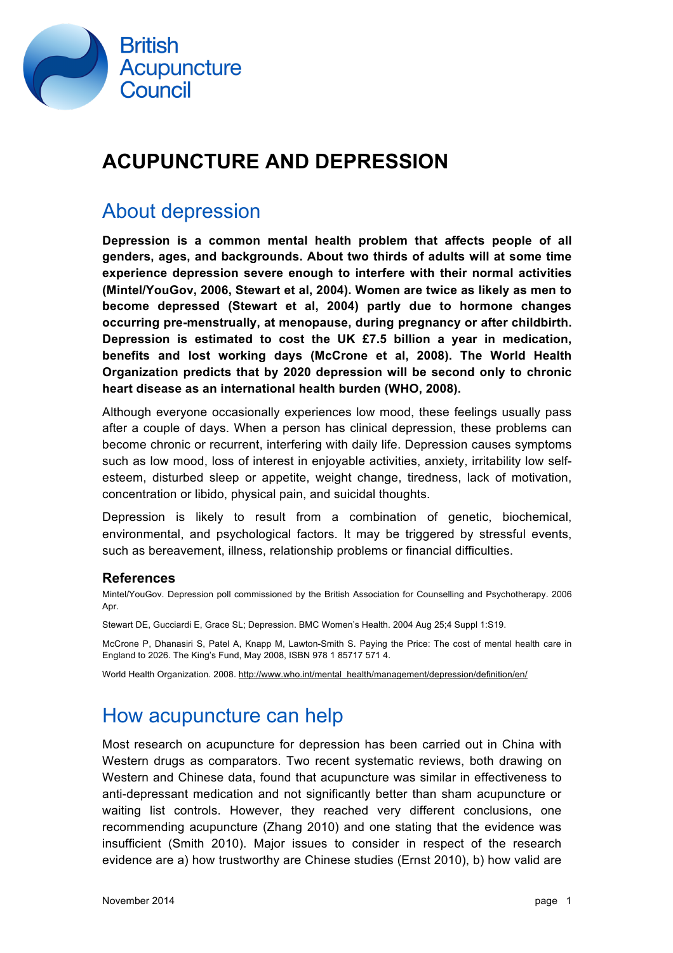

# **ACUPUNCTURE AND DEPRESSION**

#### About depression

**Depression is a common mental health problem that affects people of all genders, ages, and backgrounds. About two thirds of adults will at some time experience depression severe enough to interfere with their normal activities (Mintel/YouGov, 2006, Stewart et al, 2004). Women are twice as likely as men to become depressed (Stewart et al, 2004) partly due to hormone changes occurring pre-menstrually, at menopause, during pregnancy or after childbirth. Depression is estimated to cost the UK £7.5 billion a year in medication, benefits and lost working days (McCrone et al, 2008). The World Health Organization predicts that by 2020 depression will be second only to chronic heart disease as an international health burden (WHO, 2008).**

Although everyone occasionally experiences low mood, these feelings usually pass after a couple of days. When a person has clinical depression, these problems can become chronic or recurrent, interfering with daily life. Depression causes symptoms such as low mood, loss of interest in enjoyable activities, anxiety, irritability low selfesteem, disturbed sleep or appetite, weight change, tiredness, lack of motivation, concentration or libido, physical pain, and suicidal thoughts.

Depression is likely to result from a combination of genetic, biochemical, environmental, and psychological factors. It may be triggered by stressful events, such as bereavement, illness, relationship problems or financial difficulties.

#### **References**

Mintel/YouGov. Depression poll commissioned by the British Association for Counselling and Psychotherapy. 2006 Apr.

Stewart DE, Gucciardi E, Grace SL; Depression. BMC Women's Health. 2004 Aug 25;4 Suppl 1:S19.

McCrone P, Dhanasiri S, Patel A, Knapp M, Lawton-Smith S. Paying the Price: The cost of mental health care in England to 2026. The King's Fund, May 2008, ISBN 978 1 85717 571 4.

World Health Organization. 2008. http://www.who.int/mental health/management/depression/definition/en/

### How acupuncture can help

Most research on acupuncture for depression has been carried out in China with Western drugs as comparators. Two recent systematic reviews, both drawing on Western and Chinese data, found that acupuncture was similar in effectiveness to anti-depressant medication and not significantly better than sham acupuncture or waiting list controls. However, they reached very different conclusions, one recommending acupuncture (Zhang 2010) and one stating that the evidence was insufficient (Smith 2010). Major issues to consider in respect of the research evidence are a) how trustworthy are Chinese studies (Ernst 2010), b) how valid are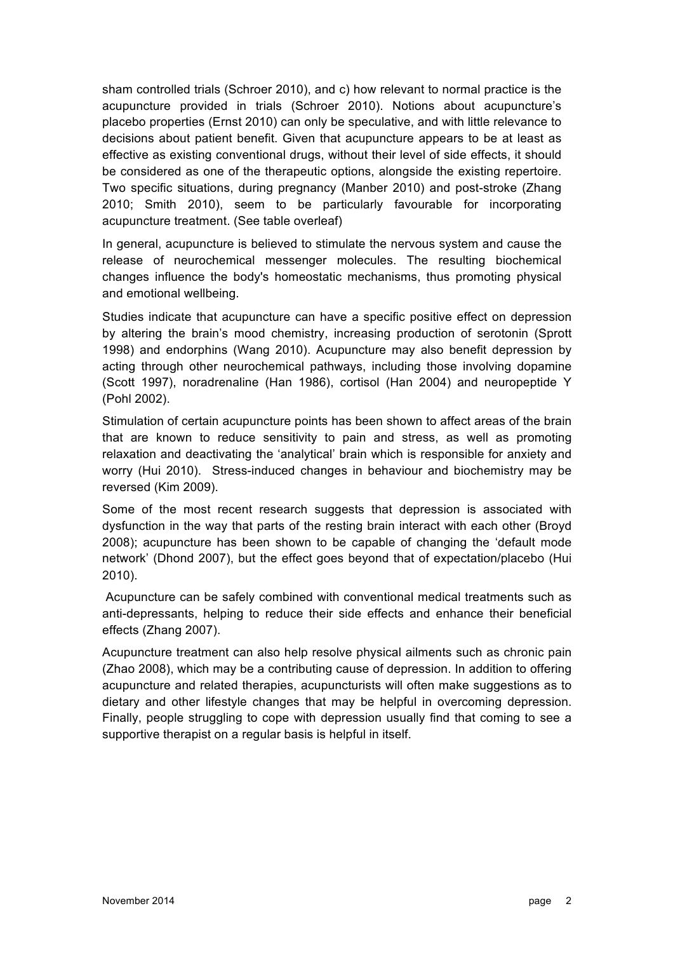sham controlled trials (Schroer 2010), and c) how relevant to normal practice is the acupuncture provided in trials (Schroer 2010). Notions about acupuncture's placebo properties (Ernst 2010) can only be speculative, and with little relevance to decisions about patient benefit. Given that acupuncture appears to be at least as effective as existing conventional drugs, without their level of side effects, it should be considered as one of the therapeutic options, alongside the existing repertoire. Two specific situations, during pregnancy (Manber 2010) and post-stroke (Zhang 2010; Smith 2010), seem to be particularly favourable for incorporating acupuncture treatment. (See table overleaf)

In general, acupuncture is believed to stimulate the nervous system and cause the release of neurochemical messenger molecules. The resulting biochemical changes influence the body's homeostatic mechanisms, thus promoting physical and emotional wellbeing.

Studies indicate that acupuncture can have a specific positive effect on depression by altering the brain's mood chemistry, increasing production of serotonin (Sprott 1998) and endorphins (Wang 2010). Acupuncture may also benefit depression by acting through other neurochemical pathways, including those involving dopamine (Scott 1997), noradrenaline (Han 1986), cortisol (Han 2004) and neuropeptide Y (Pohl 2002).

Stimulation of certain acupuncture points has been shown to affect areas of the brain that are known to reduce sensitivity to pain and stress, as well as promoting relaxation and deactivating the 'analytical' brain which is responsible for anxiety and worry (Hui 2010). Stress-induced changes in behaviour and biochemistry may be reversed (Kim 2009).

Some of the most recent research suggests that depression is associated with dysfunction in the way that parts of the resting brain interact with each other (Broyd 2008); acupuncture has been shown to be capable of changing the 'default mode network' (Dhond 2007), but the effect goes beyond that of expectation/placebo (Hui 2010).

Acupuncture can be safely combined with conventional medical treatments such as anti-depressants, helping to reduce their side effects and enhance their beneficial effects (Zhang 2007).

Acupuncture treatment can also help resolve physical ailments such as chronic pain (Zhao 2008), which may be a contributing cause of depression. In addition to offering acupuncture and related therapies, acupuncturists will often make suggestions as to dietary and other lifestyle changes that may be helpful in overcoming depression. Finally, people struggling to cope with depression usually find that coming to see a supportive therapist on a regular basis is helpful in itself.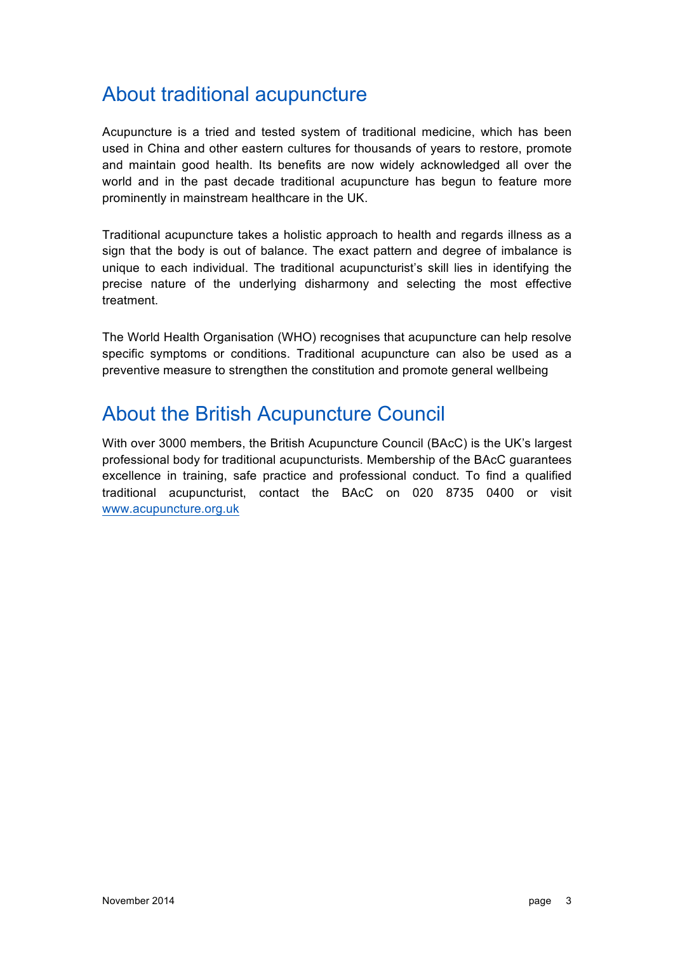### About traditional acupuncture

Acupuncture is a tried and tested system of traditional medicine, which has been used in China and other eastern cultures for thousands of years to restore, promote and maintain good health. Its benefits are now widely acknowledged all over the world and in the past decade traditional acupuncture has begun to feature more prominently in mainstream healthcare in the UK.

Traditional acupuncture takes a holistic approach to health and regards illness as a sign that the body is out of balance. The exact pattern and degree of imbalance is unique to each individual. The traditional acupuncturist's skill lies in identifying the precise nature of the underlying disharmony and selecting the most effective treatment.

The World Health Organisation (WHO) recognises that acupuncture can help resolve specific symptoms or conditions. Traditional acupuncture can also be used as a preventive measure to strengthen the constitution and promote general wellbeing

### About the British Acupuncture Council

With over 3000 members, the British Acupuncture Council (BAcC) is the UK's largest professional body for traditional acupuncturists. Membership of the BAcC guarantees excellence in training, safe practice and professional conduct. To find a qualified traditional acupuncturist, contact the BAcC on 020 8735 0400 or visit www.acupuncture.org.uk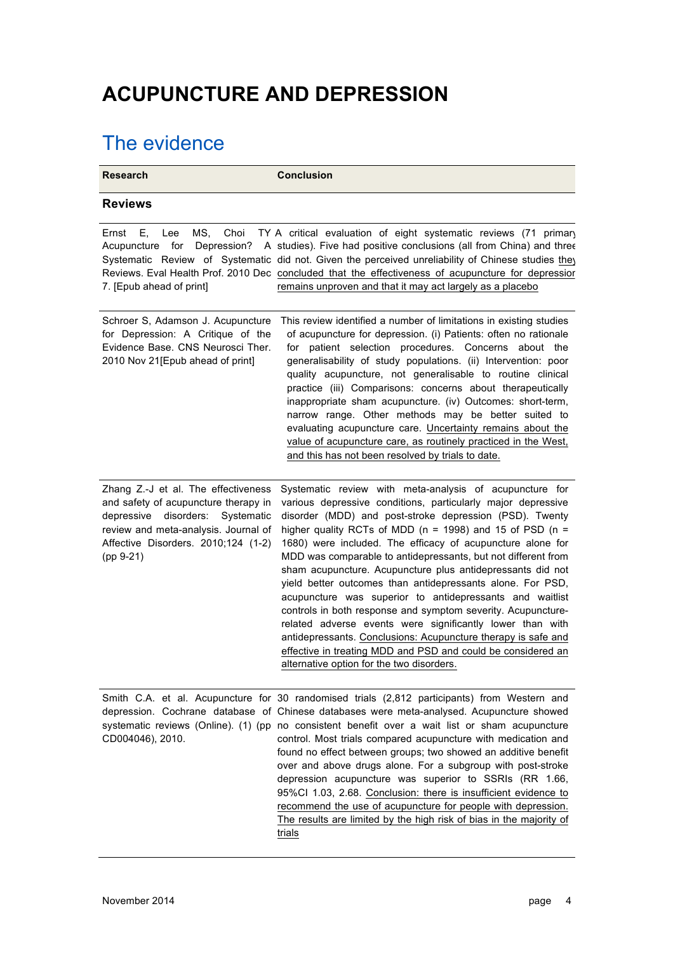# **ACUPUNCTURE AND DEPRESSION**

# The evidence

| <b>Research</b>                                                                                                                                                                                                     | <b>Conclusion</b>                                                                                                                                                                                                                                                                                                                                                                                                                                                                                                                                                                                                                                                                                                                                                                                                                                                                       |
|---------------------------------------------------------------------------------------------------------------------------------------------------------------------------------------------------------------------|-----------------------------------------------------------------------------------------------------------------------------------------------------------------------------------------------------------------------------------------------------------------------------------------------------------------------------------------------------------------------------------------------------------------------------------------------------------------------------------------------------------------------------------------------------------------------------------------------------------------------------------------------------------------------------------------------------------------------------------------------------------------------------------------------------------------------------------------------------------------------------------------|
| <b>Reviews</b>                                                                                                                                                                                                      |                                                                                                                                                                                                                                                                                                                                                                                                                                                                                                                                                                                                                                                                                                                                                                                                                                                                                         |
| MS.<br>Ernst<br><b>Lee</b><br>Choi<br>E.<br>for<br>Acupuncture<br>7. [Epub ahead of print]                                                                                                                          | TY A critical evaluation of eight systematic reviews (71 primary<br>Depression? A studies). Five had positive conclusions (all from China) and three<br>Systematic Review of Systematic did not. Given the perceived unreliability of Chinese studies they<br>Reviews. Eval Health Prof. 2010 Dec concluded that the effectiveness of acupuncture for depressior<br>remains unproven and that it may act largely as a placebo                                                                                                                                                                                                                                                                                                                                                                                                                                                           |
| Schroer S, Adamson J. Acupuncture<br>for Depression: A Critique of the<br>Evidence Base. CNS Neurosci Ther.<br>2010 Nov 21 [Epub ahead of print]                                                                    | This review identified a number of limitations in existing studies<br>of acupuncture for depression. (i) Patients: often no rationale<br>for patient selection procedures. Concerns about the<br>generalisability of study populations. (ii) Intervention: poor<br>quality acupuncture, not generalisable to routine clinical<br>practice (iii) Comparisons: concerns about therapeutically<br>inappropriate sham acupuncture. (iv) Outcomes: short-term,<br>narrow range. Other methods may be better suited to<br>evaluating acupuncture care. Uncertainty remains about the<br>value of acupuncture care, as routinely practiced in the West,<br>and this has not been resolved by trials to date.                                                                                                                                                                                   |
| Zhang Z.-J et al. The effectiveness<br>and safety of acupuncture therapy in<br>disorders:<br>depressive<br>Systematic<br>review and meta-analysis. Journal of<br>Affective Disorders. 2010;124 (1-2)<br>$(pp 9-21)$ | Systematic review with meta-analysis of acupuncture for<br>various depressive conditions, particularly major depressive<br>disorder (MDD) and post-stroke depression (PSD). Twenty<br>higher quality RCTs of MDD ( $n = 1998$ ) and 15 of PSD ( $n =$<br>1680) were included. The efficacy of acupuncture alone for<br>MDD was comparable to antidepressants, but not different from<br>sham acupuncture. Acupuncture plus antidepressants did not<br>yield better outcomes than antidepressants alone. For PSD,<br>acupuncture was superior to antidepressants and waitlist<br>controls in both response and symptom severity. Acupuncture-<br>related adverse events were significantly lower than with<br>antidepressants. Conclusions: Acupuncture therapy is safe and<br>effective in treating MDD and PSD and could be considered an<br>alternative option for the two disorders. |
| CD004046), 2010.                                                                                                                                                                                                    | Smith C.A. et al. Acupuncture for 30 randomised trials (2,812 participants) from Western and<br>depression. Cochrane database of Chinese databases were meta-analysed. Acupuncture showed<br>systematic reviews (Online). (1) (pp no consistent benefit over a wait list or sham acupuncture<br>control. Most trials compared acupuncture with medication and<br>found no effect between groups; two showed an additive benefit<br>over and above drugs alone. For a subgroup with post-stroke<br>depression acupuncture was superior to SSRIs (RR 1.66,<br>95%Cl 1.03, 2.68. Conclusion: there is insufficient evidence to<br>recommend the use of acupuncture for people with depression.<br>The results are limited by the high risk of bias in the majority of                                                                                                                      |

trials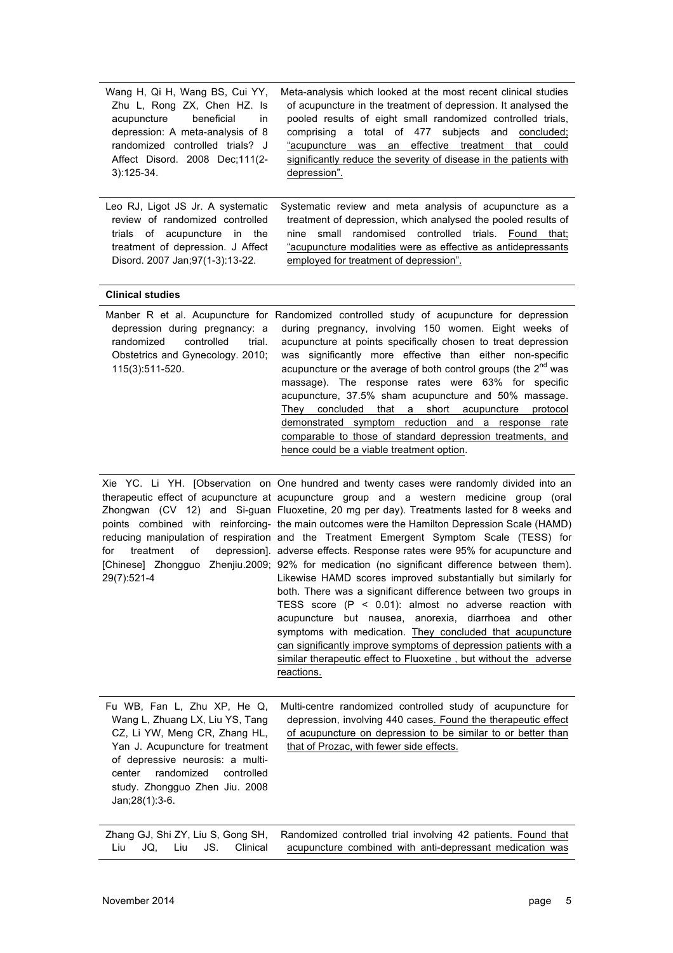| Wang H, Qi H, Wang BS, Cui YY,<br>Zhu L, Rong ZX, Chen HZ. Is<br>acupuncture beneficial<br><i>in</i><br>depression: A meta-analysis of 8<br>randomized controlled trials? J<br>Affect Disord. 2008 Dec:111(2-<br>depression".<br>$3:125-34.$ | Meta-analysis which looked at the most recent clinical studies<br>of acupuncture in the treatment of depression. It analysed the<br>pooled results of eight small randomized controlled trials,<br>comprising a total of 477 subjects and concluded;<br>was an effective treatment<br>that<br>could<br>"acupuncture<br>significantly reduce the severity of disease in the patients with |
|----------------------------------------------------------------------------------------------------------------------------------------------------------------------------------------------------------------------------------------------|------------------------------------------------------------------------------------------------------------------------------------------------------------------------------------------------------------------------------------------------------------------------------------------------------------------------------------------------------------------------------------------|
| Leo RJ, Ligot JS Jr. A systematic                                                                                                                                                                                                            | Systematic review and meta analysis of acupuncture as a                                                                                                                                                                                                                                                                                                                                  |

review of randomized controlled trials of acupuncture in the treatment of depression. J Affect Disord. 2007 Jan;97(1-3):13-22.

Systematic review and meta analysis of acupuncture as a treatment of depression, which analysed the pooled results of nine small randomised controlled trials. Found that; "acupuncture modalities were as effective as antidepressants employed for treatment of depression".

#### **Clinical studies**

| depression during pregnancy: a<br>controlled<br>randomized<br>trial.<br>Obstetrics and Gynecology. 2010;<br>115(3):511-520.                                                                                                                                       | Manber R et al. Acupuncture for Randomized controlled study of acupuncture for depression<br>during pregnancy, involving 150 women. Eight weeks of<br>acupuncture at points specifically chosen to treat depression<br>was significantly more effective than either non-specific<br>acupuncture or the average of both control groups (the $2^{nd}$ was<br>massage). The response rates were 63% for specific<br>acupuncture, 37.5% sham acupuncture and 50% massage.<br>They concluded that a short acupuncture protocol<br>demonstrated symptom reduction and a response rate<br>comparable to those of standard depression treatments, and<br>hence could be a viable treatment option.                                                                                                                                                                                                                                                                                                                                                                                                                                                   |
|-------------------------------------------------------------------------------------------------------------------------------------------------------------------------------------------------------------------------------------------------------------------|----------------------------------------------------------------------------------------------------------------------------------------------------------------------------------------------------------------------------------------------------------------------------------------------------------------------------------------------------------------------------------------------------------------------------------------------------------------------------------------------------------------------------------------------------------------------------------------------------------------------------------------------------------------------------------------------------------------------------------------------------------------------------------------------------------------------------------------------------------------------------------------------------------------------------------------------------------------------------------------------------------------------------------------------------------------------------------------------------------------------------------------------|
| treatment<br>of<br>for<br>29(7):521-4                                                                                                                                                                                                                             | Xie YC. Li YH. [Observation on One hundred and twenty cases were randomly divided into an<br>therapeutic effect of acupuncture at acupuncture group and a western medicine group (oral<br>Zhongwan (CV 12) and Si-guan Fluoxetine, 20 mg per day). Treatments lasted for 8 weeks and<br>points combined with reinforcing- the main outcomes were the Hamilton Depression Scale (HAMD)<br>reducing manipulation of respiration and the Treatment Emergent Symptom Scale (TESS) for<br>depression]. adverse effects. Response rates were 95% for acupuncture and<br>[Chinese] Zhongguo Zhenjiu.2009; 92% for medication (no significant difference between them).<br>Likewise HAMD scores improved substantially but similarly for<br>both. There was a significant difference between two groups in<br>TESS score $(P < 0.01)$ : almost no adverse reaction with<br>acupuncture but nausea, anorexia, diarrhoea and other<br>symptoms with medication. They concluded that acupuncture<br>can significantly improve symptoms of depression patients with a<br>similar therapeutic effect to Fluoxetine, but without the adverse<br>reactions. |
| Fu WB, Fan L, Zhu XP, He Q,<br>Wang L, Zhuang LX, Liu YS, Tang<br>CZ, Li YW, Meng CR, Zhang HL,<br>Yan J. Acupuncture for treatment<br>of depressive neurosis: a multi-<br>randomized<br>controlled<br>center<br>study. Zhongguo Zhen Jiu. 2008<br>Jan;28(1):3-6. | Multi-centre randomized controlled study of acupuncture for<br>depression, involving 440 cases. Found the therapeutic effect<br>of acupuncture on depression to be similar to or better than<br>that of Prozac, with fewer side effects.                                                                                                                                                                                                                                                                                                                                                                                                                                                                                                                                                                                                                                                                                                                                                                                                                                                                                                     |
| Zhang GJ, Shi ZY, Liu S, Gong SH,<br>Liu<br>JQ,<br>JS.<br>Liu<br>Clinical                                                                                                                                                                                         | Randomized controlled trial involving 42 patients. Found that<br>acupuncture combined with anti-depressant medication was                                                                                                                                                                                                                                                                                                                                                                                                                                                                                                                                                                                                                                                                                                                                                                                                                                                                                                                                                                                                                    |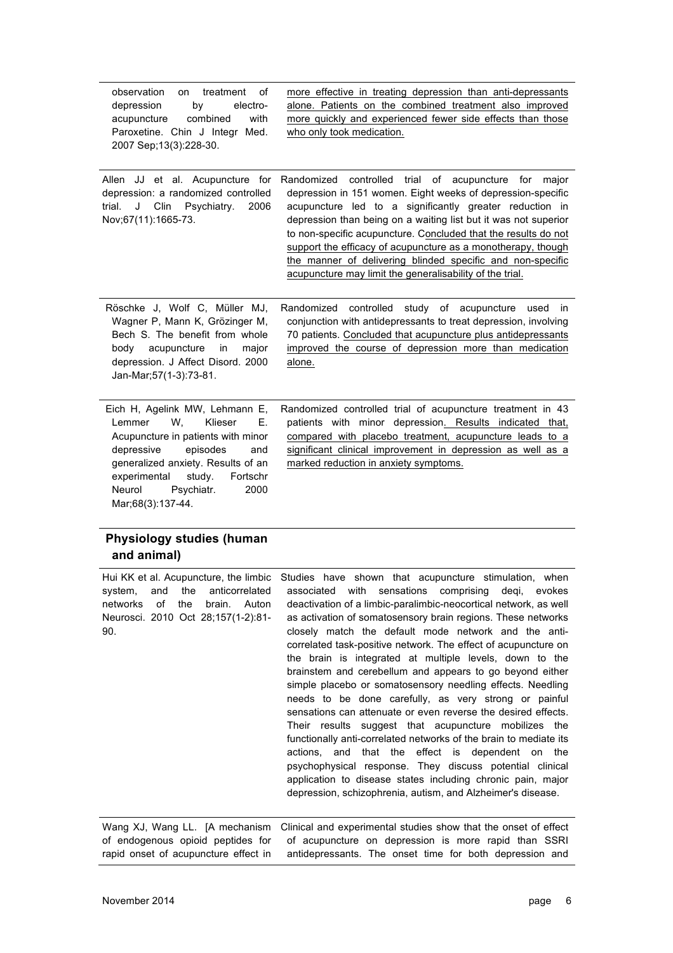| observation<br>treatment<br>of<br>on<br>depression<br>electro-<br>by<br>combined<br>with<br>acupuncture<br>Paroxetine. Chin J Integr Med.<br>2007 Sep; 13(3): 228-30.                                                                                                   | more effective in treating depression than anti-depressants<br>alone. Patients on the combined treatment also improved<br>more quickly and experienced fewer side effects than those<br>who only took medication.                                                                                                                                                                                                                                                                                                                                                                                                                                                                                                                                                                                                                                                                                                                                                                             |
|-------------------------------------------------------------------------------------------------------------------------------------------------------------------------------------------------------------------------------------------------------------------------|-----------------------------------------------------------------------------------------------------------------------------------------------------------------------------------------------------------------------------------------------------------------------------------------------------------------------------------------------------------------------------------------------------------------------------------------------------------------------------------------------------------------------------------------------------------------------------------------------------------------------------------------------------------------------------------------------------------------------------------------------------------------------------------------------------------------------------------------------------------------------------------------------------------------------------------------------------------------------------------------------|
| Allen JJ et al. Acupuncture for<br>depression: a randomized controlled<br>Clin<br>trial.<br>J<br>Psychiatry.<br>2006<br>Nov;67(11):1665-73.                                                                                                                             | Randomized controlled trial of acupuncture for<br>major<br>depression in 151 women. Eight weeks of depression-specific<br>acupuncture led to a significantly greater reduction in<br>depression than being on a waiting list but it was not superior<br>to non-specific acupuncture. Concluded that the results do not<br>support the efficacy of acupuncture as a monotherapy, though<br>the manner of delivering blinded specific and non-specific<br>acupuncture may limit the generalisability of the trial.                                                                                                                                                                                                                                                                                                                                                                                                                                                                              |
| Röschke J, Wolf C, Müller MJ,<br>Wagner P, Mann K, Grözinger M,<br>Bech S. The benefit from whole<br>body<br>acupuncture<br>major<br>in<br>depression. J Affect Disord. 2000<br>Jan-Mar;57(1-3):73-81.                                                                  | Randomized<br>controlled study of acupuncture<br>used<br>in<br>conjunction with antidepressants to treat depression, involving<br>70 patients. Concluded that acupuncture plus antidepressants<br>improved the course of depression more than medication<br>alone.                                                                                                                                                                                                                                                                                                                                                                                                                                                                                                                                                                                                                                                                                                                            |
| Eich H, Agelink MW, Lehmann E,<br>W,<br>Klieser<br>Lemmer<br>Е.<br>Acupuncture in patients with minor<br>depressive<br>episodes<br>and<br>generalized anxiety. Results of an<br>study.<br>experimental<br>Fortschr<br>Neurol<br>Psychiatr.<br>2000<br>Mar;68(3):137-44. | Randomized controlled trial of acupuncture treatment in 43<br>patients with minor depression. Results indicated that,<br>compared with placebo treatment, acupuncture leads to a<br>significant clinical improvement in depression as well as a<br>marked reduction in anxiety symptoms.                                                                                                                                                                                                                                                                                                                                                                                                                                                                                                                                                                                                                                                                                                      |
| Physiology studies (human<br>and animal)                                                                                                                                                                                                                                |                                                                                                                                                                                                                                                                                                                                                                                                                                                                                                                                                                                                                                                                                                                                                                                                                                                                                                                                                                                               |
| Hui KK et al. Acupuncture, the limbic Studies have<br>anticorrelated<br>the<br>system,<br>and<br>of<br>the<br>networks<br>brain. Auton<br>Neurosci. 2010 Oct 28;157(1-2):81-<br>90.                                                                                     | shown that acupuncture stimulation,<br>when<br>associated with sensations comprising deqi,<br>evokes<br>deactivation of a limbic-paralimbic-neocortical network, as well<br>as activation of somatosensory brain regions. These networks<br>closely match the default mode network and the anti-<br>correlated task-positive network. The effect of acupuncture on<br>the brain is integrated at multiple levels, down to the<br>brainstem and cerebellum and appears to go beyond either<br>simple placebo or somatosensory needling effects. Needling<br>needs to be done carefully, as very strong or painful<br>sensations can attenuate or even reverse the desired effects.<br>Their results suggest that acupuncture mobilizes the<br>functionally anti-correlated networks of the brain to mediate its<br>actions, and that the effect is dependent on the<br>psychophysical response. They discuss potential clinical<br>application to disease states including chronic pain, major |

Wang XJ, Wang LL. [A mechanism Clinical and experimental studies show that the onset of effect of endogenous opioid peptides for rapid onset of acupuncture effect in of acupuncture on depression is more rapid than SSRI antidepressants. The onset time for both depression and

depression, schizophrenia, autism, and Alzheimer's disease.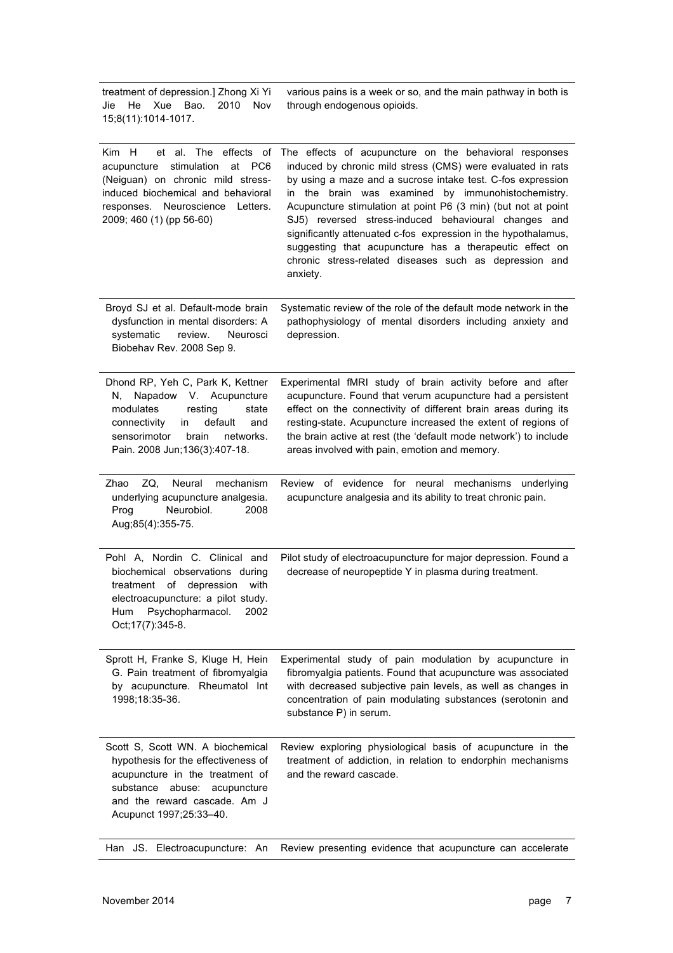| treatment of depression.] Zhong Xi Yi<br>He<br>Xue<br>Bao.<br>2010<br>Nov<br>Jie<br>15;8(11):1014-1017.                                                                                                                 | various pains is a week or so, and the main pathway in both is<br>through endogenous opioids.                                                                                                                                                                                                                                                                                                                                                                                                                                                                          |
|-------------------------------------------------------------------------------------------------------------------------------------------------------------------------------------------------------------------------|------------------------------------------------------------------------------------------------------------------------------------------------------------------------------------------------------------------------------------------------------------------------------------------------------------------------------------------------------------------------------------------------------------------------------------------------------------------------------------------------------------------------------------------------------------------------|
| et al. The effects of<br>Kim H<br>stimulation<br>at PC6<br>acupuncture<br>(Neiguan) on chronic mild stress-<br>induced biochemical and behavioral<br>Neuroscience<br>Letters.<br>responses.<br>2009; 460 (1) (pp 56-60) | The effects of acupuncture on the behavioral responses<br>induced by chronic mild stress (CMS) were evaluated in rats<br>by using a maze and a sucrose intake test. C-fos expression<br>in the brain was examined by immunohistochemistry.<br>Acupuncture stimulation at point P6 (3 min) (but not at point<br>SJ5) reversed stress-induced behavioural changes and<br>significantly attenuated c-fos expression in the hypothalamus,<br>suggesting that acupuncture has a therapeutic effect on<br>chronic stress-related diseases such as depression and<br>anxiety. |
| Broyd SJ et al. Default-mode brain<br>dysfunction in mental disorders: A<br>systematic<br>review.<br>Neurosci<br>Biobehav Rev. 2008 Sep 9.                                                                              | Systematic review of the role of the default mode network in the<br>pathophysiology of mental disorders including anxiety and<br>depression.                                                                                                                                                                                                                                                                                                                                                                                                                           |
| Dhond RP, Yeh C, Park K, Kettner<br>N, Napadow V. Acupuncture<br>modulates<br>state<br>resting<br>connectivity<br>default<br>in<br>and<br>sensorimotor<br>brain<br>networks.<br>Pain. 2008 Jun; 136(3): 407-18.         | Experimental fMRI study of brain activity before and after<br>acupuncture. Found that verum acupuncture had a persistent<br>effect on the connectivity of different brain areas during its<br>resting-state. Acupuncture increased the extent of regions of<br>the brain active at rest (the 'default mode network') to include<br>areas involved with pain, emotion and memory.                                                                                                                                                                                       |
| Neural<br>ZQ.<br>mechanism<br>Zhao<br>underlying acupuncture analgesia.<br>Neurobiol.<br>2008<br>Prog<br>Aug;85(4):355-75.                                                                                              | Review of evidence for neural mechanisms underlying<br>acupuncture analgesia and its ability to treat chronic pain.                                                                                                                                                                                                                                                                                                                                                                                                                                                    |
| Pohl A, Nordin C. Clinical and<br>biochemical observations during<br>treatment of depression with<br>electroacupuncture: a pilot study.<br>Psychopharmacol.<br>2002<br>Hum<br>Oct; 17(7): 345-8.                        | Pilot study of electroacupuncture for major depression. Found a<br>decrease of neuropeptide Y in plasma during treatment.                                                                                                                                                                                                                                                                                                                                                                                                                                              |
| Sprott H, Franke S, Kluge H, Hein<br>G. Pain treatment of fibromyalgia<br>by acupuncture. Rheumatol Int<br>1998;18:35-36.                                                                                               | Experimental study of pain modulation by acupuncture in<br>fibromyalgia patients. Found that acupuncture was associated<br>with decreased subjective pain levels, as well as changes in<br>concentration of pain modulating substances (serotonin and<br>substance P) in serum.                                                                                                                                                                                                                                                                                        |
| Scott S, Scott WN. A biochemical<br>hypothesis for the effectiveness of<br>acupuncture in the treatment of<br>substance abuse: acupuncture<br>and the reward cascade. Am J<br>Acupunct 1997;25:33-40.                   | Review exploring physiological basis of acupuncture in the<br>treatment of addiction, in relation to endorphin mechanisms<br>and the reward cascade.                                                                                                                                                                                                                                                                                                                                                                                                                   |
| Han JS. Electroacupuncture: An                                                                                                                                                                                          | Review presenting evidence that acupuncture can accelerate                                                                                                                                                                                                                                                                                                                                                                                                                                                                                                             |